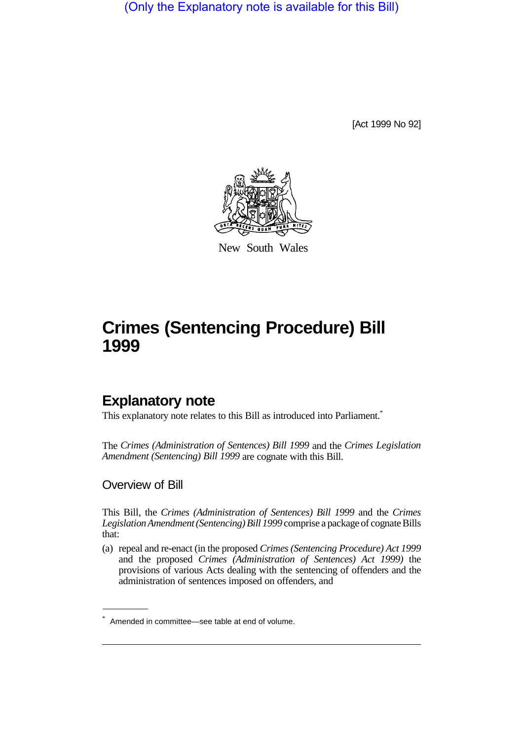(Only the Explanatory note is available for this Bill)

[Act 1999 No 92]



New South Wales

# **Crimes (Sentencing Procedure) Bill 1999**

# **Explanatory note**

This explanatory note relates to this Bill as introduced into Parliament.<sup>\*</sup>

The *Crimes (Administration of Sentences) Bill 1999* and the *Crimes Legislation Amendment (Sentencing) Bill 1999* are cognate with this Bill.

### Overview of Bill

This Bill, the *Crimes (Administration of Sentences) Bill 1999* and the *Crimes Legislation Amendment (Sentencing) Bill 1999* comprise a package of cognate Bills that:

(a) repeal and re-enact (in the proposed *Crimes (Sentencing Procedure) Act 1999* and the proposed *Crimes (Administration of Sentences) Act 1999)* the provisions of various Acts dealing with the sentencing of offenders and the administration of sentences imposed on offenders, and

<sup>\*</sup> Amended in committee—see table at end of volume.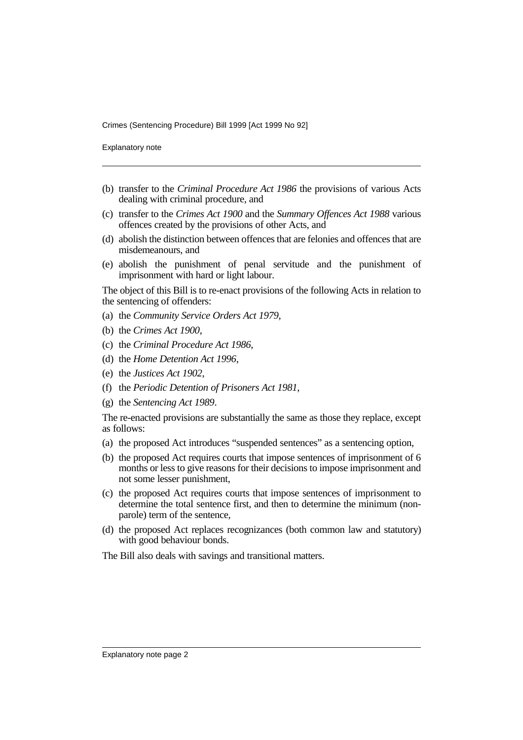Explanatory note

- (b) transfer to the *Criminal Procedure Act 1986* the provisions of various Acts dealing with criminal procedure, and
- (c) transfer to the *Crimes Act 1900* and the *Summary Offences Act 1988* various offences created by the provisions of other Acts, and
- (d) abolish the distinction between offences that are felonies and offences that are misdemeanours, and
- (e) abolish the punishment of penal servitude and the punishment of imprisonment with hard or light labour.

The object of this Bill is to re-enact provisions of the following Acts in relation to the sentencing of offenders:

- (a) the *Community Service Orders Act 1979*,
- (b) the *Crimes Act 1900*,
- (c) the *Criminal Procedure Act 1986*,
- (d) the *Home Detention Act 1996*,
- (e) the *Justices Act 1902*,
- (f) the *Periodic Detention of Prisoners Act 1981*,
- (g) the *Sentencing Act 1989*.

The re-enacted provisions are substantially the same as those they replace, except as follows:

- (a) the proposed Act introduces "suspended sentences" as a sentencing option,
- (b) the proposed Act requires courts that impose sentences of imprisonment of 6 months or less to give reasons for their decisions to impose imprisonment and not some lesser punishment,
- (c) the proposed Act requires courts that impose sentences of imprisonment to determine the total sentence first, and then to determine the minimum (nonparole) term of the sentence,
- (d) the proposed Act replaces recognizances (both common law and statutory) with good behaviour bonds.

The Bill also deals with savings and transitional matters.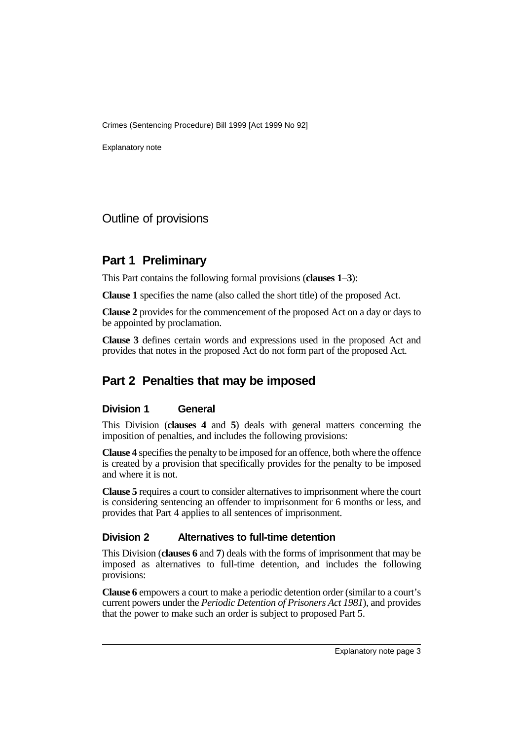Explanatory note

Outline of provisions

# **Part 1 Preliminary**

This Part contains the following formal provisions (**clauses 1**–**3**):

**Clause 1** specifies the name (also called the short title) of the proposed Act.

**Clause 2** provides for the commencement of the proposed Act on a day or days to be appointed by proclamation.

**Clause 3** defines certain words and expressions used in the proposed Act and provides that notes in the proposed Act do not form part of the proposed Act.

# **Part 2 Penalties that may be imposed**

### **Division 1 General**

This Division (**clauses 4** and **5**) deals with general matters concerning the imposition of penalties, and includes the following provisions:

**Clause 4** specifies the penalty to be imposed for an offence, both where the offence is created by a provision that specifically provides for the penalty to be imposed and where it is not.

**Clause 5** requires a court to consider alternatives to imprisonment where the court is considering sentencing an offender to imprisonment for 6 months or less, and provides that Part 4 applies to all sentences of imprisonment.

### **Division 2 Alternatives to full-time detention**

This Division (**clauses 6** and **7**) deals with the forms of imprisonment that may be imposed as alternatives to full-time detention, and includes the following provisions:

**Clause 6** empowers a court to make a periodic detention order (similar to a court's current powers under the *Periodic Detention of Prisoners Act 1981*), and provides that the power to make such an order is subject to proposed Part 5.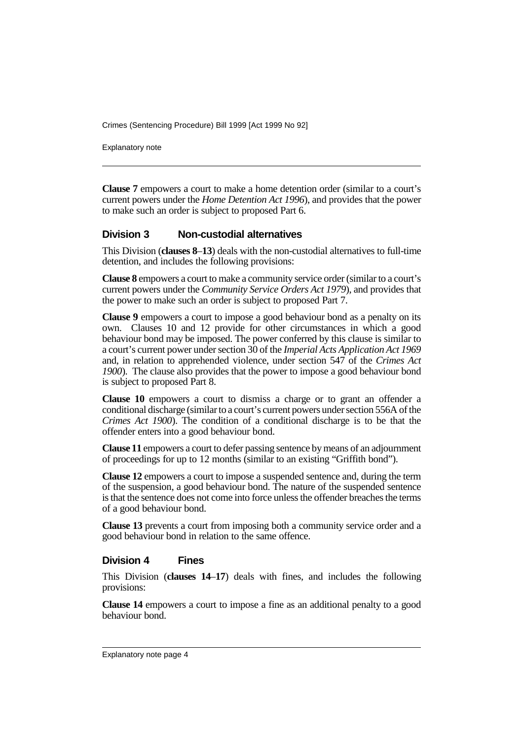Explanatory note

**Clause 7** empowers a court to make a home detention order (similar to a court's current powers under the *Home Detention Act 1996*), and provides that the power to make such an order is subject to proposed Part 6.

#### **Division 3 Non-custodial alternatives**

This Division (**clauses 8**–**13**) deals with the non-custodial alternatives to full-time detention, and includes the following provisions:

**Clause 8** empowers a court to make a community service order (similar to a court's current powers under the *Community Service Orders Act 1979*), and provides that the power to make such an order is subject to proposed Part 7.

**Clause 9** empowers a court to impose a good behaviour bond as a penalty on its own. Clauses 10 and 12 provide for other circumstances in which a good behaviour bond may be imposed. The power conferred by this clause is similar to a court's current power under section 30 of the *Imperial Acts Application Act 1969* and, in relation to apprehended violence, under section 547 of the *Crimes Act 1900*). The clause also provides that the power to impose a good behaviour bond is subject to proposed Part 8.

**Clause 10** empowers a court to dismiss a charge or to grant an offender a conditional discharge (similar to a court's current powers under section 556A of the *Crimes Act 1900*). The condition of a conditional discharge is to be that the offender enters into a good behaviour bond.

**Clause 11** empowers a court to defer passing sentence by means of an adjournment of proceedings for up to 12 months (similar to an existing "Griffith bond").

**Clause 12** empowers a court to impose a suspended sentence and, during the term of the suspension, a good behaviour bond. The nature of the suspended sentence is that the sentence does not come into force unless the offender breaches the terms of a good behaviour bond.

**Clause 13** prevents a court from imposing both a community service order and a good behaviour bond in relation to the same offence.

#### **Division 4 Fines**

This Division (**clauses 14**–**17**) deals with fines, and includes the following provisions:

**Clause 14** empowers a court to impose a fine as an additional penalty to a good behaviour bond.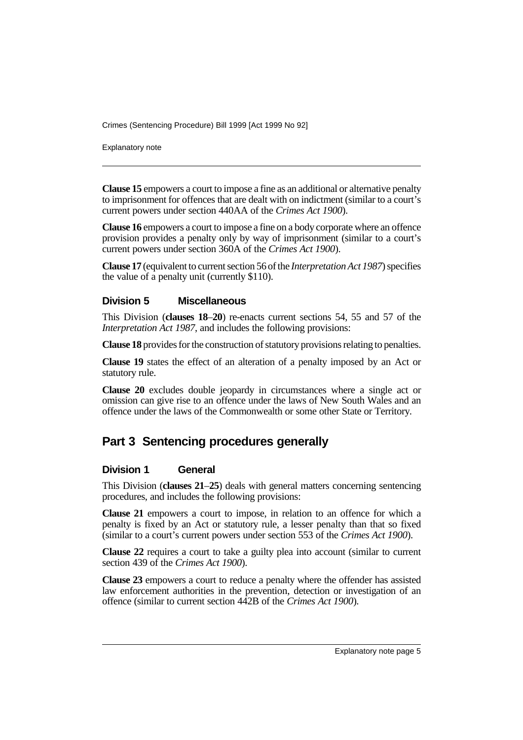Explanatory note

**Clause 15** empowers a court to impose a fine as an additional or alternative penalty to imprisonment for offences that are dealt with on indictment (similar to a court's current powers under section 440AA of the *Crimes Act 1900*).

**Clause 16** empowers a court to impose a fine on a body corporate where an offence provision provides a penalty only by way of imprisonment (similar to a court's current powers under section 360A of the *Crimes Act 1900*).

**Clause 17** (equivalent to current section 56 of the *Interpretation Act 1987*) specifies the value of a penalty unit (currently \$110).

### **Division 5 Miscellaneous**

This Division (**clauses 18**–**20**) re-enacts current sections 54, 55 and 57 of the *Interpretation Act 1987*, and includes the following provisions:

**Clause 18** provides for the construction of statutory provisions relating to penalties.

**Clause 19** states the effect of an alteration of a penalty imposed by an Act or statutory rule.

**Clause 20** excludes double jeopardy in circumstances where a single act or omission can give rise to an offence under the laws of New South Wales and an offence under the laws of the Commonwealth or some other State or Territory.

# **Part 3 Sentencing procedures generally**

### **Division 1 General**

This Division (**clauses 21**–**25**) deals with general matters concerning sentencing procedures, and includes the following provisions:

**Clause 21** empowers a court to impose, in relation to an offence for which a penalty is fixed by an Act or statutory rule, a lesser penalty than that so fixed (similar to a court's current powers under section 553 of the *Crimes Act 1900*).

**Clause 22** requires a court to take a guilty plea into account (similar to current section 439 of the *Crimes Act 1900*).

**Clause 23** empowers a court to reduce a penalty where the offender has assisted law enforcement authorities in the prevention, detection or investigation of an offence (similar to current section 442B of the *Crimes Act 1900*).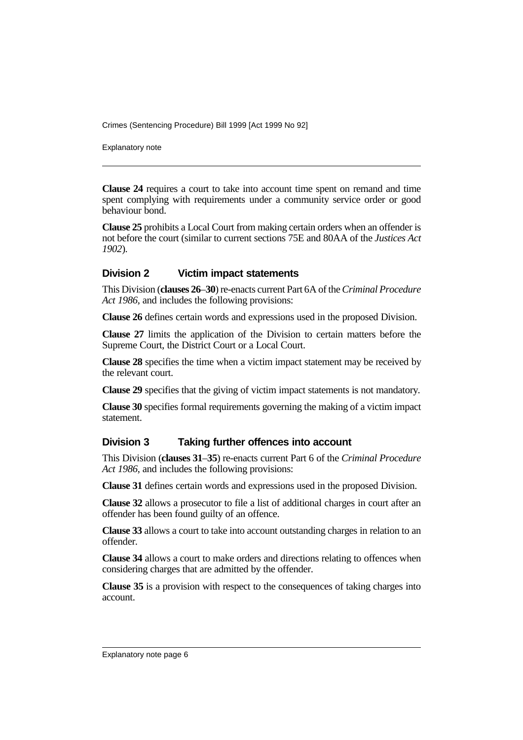Explanatory note

**Clause 24** requires a court to take into account time spent on remand and time spent complying with requirements under a community service order or good behaviour bond.

**Clause 25** prohibits a Local Court from making certain orders when an offender is not before the court (similar to current sections 75E and 80AA of the *Justices Act 1902*).

### **Division 2 Victim impact statements**

This Division (**clauses 26**–**30**) re-enacts current Part 6A of the *Criminal Procedure Act 1986*, and includes the following provisions:

**Clause 26** defines certain words and expressions used in the proposed Division.

**Clause 27** limits the application of the Division to certain matters before the Supreme Court, the District Court or a Local Court.

**Clause 28** specifies the time when a victim impact statement may be received by the relevant court.

**Clause 29** specifies that the giving of victim impact statements is not mandatory.

**Clause 30** specifies formal requirements governing the making of a victim impact statement.

### **Division 3 Taking further offences into account**

This Division (**clauses 31**–**35**) re-enacts current Part 6 of the *Criminal Procedure Act 1986*, and includes the following provisions:

**Clause 31** defines certain words and expressions used in the proposed Division.

**Clause 32** allows a prosecutor to file a list of additional charges in court after an offender has been found guilty of an offence.

**Clause 33** allows a court to take into account outstanding charges in relation to an offender.

**Clause 34** allows a court to make orders and directions relating to offences when considering charges that are admitted by the offender.

**Clause 35** is a provision with respect to the consequences of taking charges into account.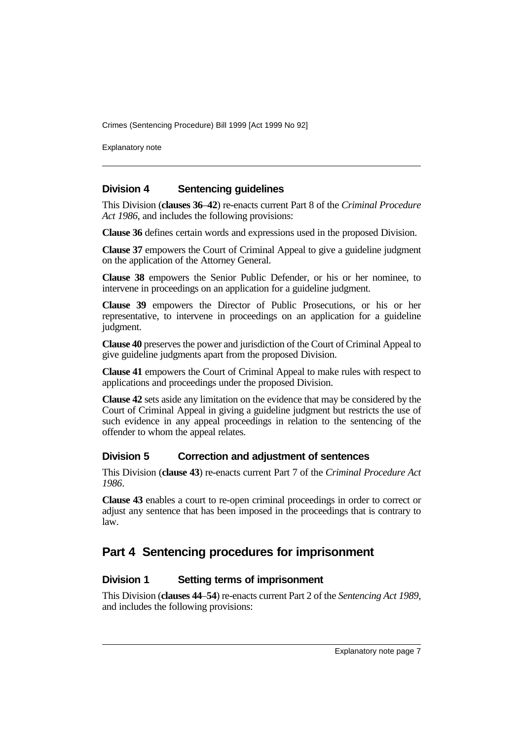Explanatory note

### **Division 4 Sentencing guidelines**

This Division (**clauses 36**–**42**) re-enacts current Part 8 of the *Criminal Procedure Act 1986*, and includes the following provisions:

**Clause 36** defines certain words and expressions used in the proposed Division.

**Clause 37** empowers the Court of Criminal Appeal to give a guideline judgment on the application of the Attorney General.

**Clause 38** empowers the Senior Public Defender, or his or her nominee, to intervene in proceedings on an application for a guideline judgment.

**Clause 39** empowers the Director of Public Prosecutions, or his or her representative, to intervene in proceedings on an application for a guideline judgment.

**Clause 40** preserves the power and jurisdiction of the Court of Criminal Appeal to give guideline judgments apart from the proposed Division.

**Clause 41** empowers the Court of Criminal Appeal to make rules with respect to applications and proceedings under the proposed Division.

**Clause 42** sets aside any limitation on the evidence that may be considered by the Court of Criminal Appeal in giving a guideline judgment but restricts the use of such evidence in any appeal proceedings in relation to the sentencing of the offender to whom the appeal relates.

### **Division 5 Correction and adjustment of sentences**

This Division (**clause 43**) re-enacts current Part 7 of the *Criminal Procedure Act 1986*.

**Clause 43** enables a court to re-open criminal proceedings in order to correct or adjust any sentence that has been imposed in the proceedings that is contrary to law.

### **Part 4 Sentencing procedures for imprisonment**

### **Division 1 Setting terms of imprisonment**

This Division (**clauses 44**–**54**) re-enacts current Part 2 of the *Sentencing Act 1989*, and includes the following provisions: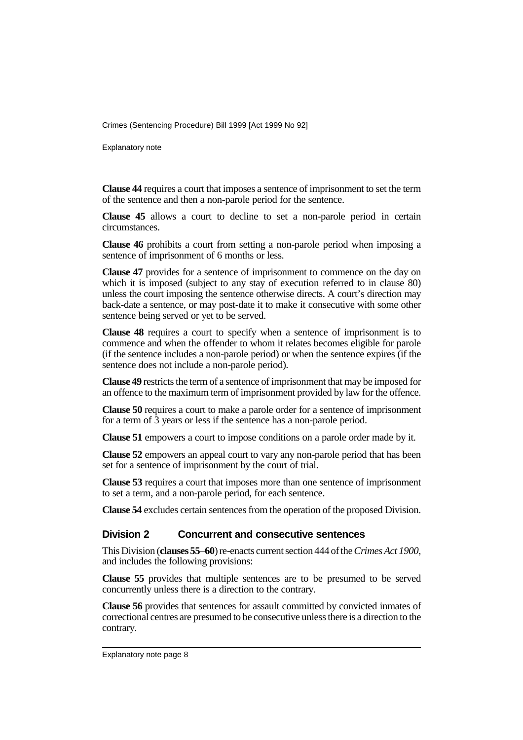Explanatory note

**Clause 44** requires a court that imposes a sentence of imprisonment to set the term of the sentence and then a non-parole period for the sentence.

**Clause 45** allows a court to decline to set a non-parole period in certain circumstances.

**Clause 46** prohibits a court from setting a non-parole period when imposing a sentence of imprisonment of 6 months or less.

**Clause 47** provides for a sentence of imprisonment to commence on the day on which it is imposed (subject to any stay of execution referred to in clause 80) unless the court imposing the sentence otherwise directs. A court's direction may back-date a sentence, or may post-date it to make it consecutive with some other sentence being served or yet to be served.

**Clause 48** requires a court to specify when a sentence of imprisonment is to commence and when the offender to whom it relates becomes eligible for parole (if the sentence includes a non-parole period) or when the sentence expires (if the sentence does not include a non-parole period).

**Clause 49** restricts the term of a sentence of imprisonment that may be imposed for an offence to the maximum term of imprisonment provided by law for the offence.

**Clause 50** requires a court to make a parole order for a sentence of imprisonment for a term of 3 years or less if the sentence has a non-parole period.

**Clause 51** empowers a court to impose conditions on a parole order made by it.

**Clause 52** empowers an appeal court to vary any non-parole period that has been set for a sentence of imprisonment by the court of trial.

**Clause 53** requires a court that imposes more than one sentence of imprisonment to set a term, and a non-parole period, for each sentence.

**Clause 54** excludes certain sentences from the operation of the proposed Division.

### **Division 2 Concurrent and consecutive sentences**

This Division (**clauses 55**–**60**) re-enacts current section 444 of the *Crimes Act 1900*, and includes the following provisions:

**Clause 55** provides that multiple sentences are to be presumed to be served concurrently unless there is a direction to the contrary.

**Clause 56** provides that sentences for assault committed by convicted inmates of correctional centres are presumed to be consecutive unless there is a direction to the contrary.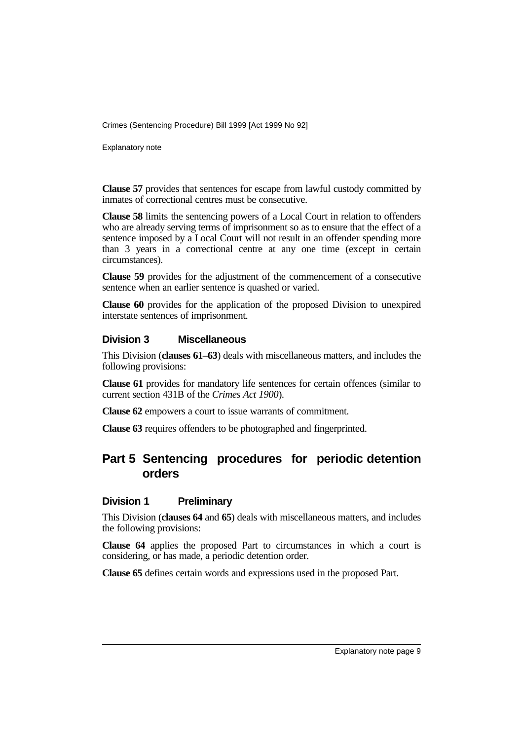Explanatory note

**Clause 57** provides that sentences for escape from lawful custody committed by inmates of correctional centres must be consecutive.

**Clause 58** limits the sentencing powers of a Local Court in relation to offenders who are already serving terms of imprisonment so as to ensure that the effect of a sentence imposed by a Local Court will not result in an offender spending more than 3 years in a correctional centre at any one time (except in certain circumstances).

**Clause 59** provides for the adjustment of the commencement of a consecutive sentence when an earlier sentence is quashed or varied.

**Clause 60** provides for the application of the proposed Division to unexpired interstate sentences of imprisonment.

#### **Division 3 Miscellaneous**

This Division (**clauses 61**–**63**) deals with miscellaneous matters, and includes the following provisions:

**Clause 61** provides for mandatory life sentences for certain offences (similar to current section 431B of the *Crimes Act 1900*).

**Clause 62** empowers a court to issue warrants of commitment.

**Clause 63** requires offenders to be photographed and fingerprinted.

# **Part 5 Sentencing procedures for periodic detention orders**

### **Division 1 Preliminary**

This Division (**clauses 64** and **65**) deals with miscellaneous matters, and includes the following provisions:

**Clause 64** applies the proposed Part to circumstances in which a court is considering, or has made, a periodic detention order.

**Clause 65** defines certain words and expressions used in the proposed Part.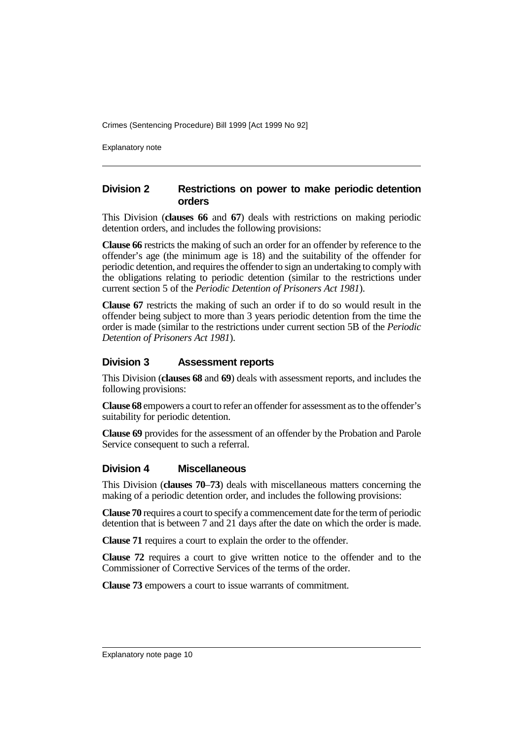Explanatory note

### **Division 2 Restrictions on power to make periodic detention orders**

This Division (**clauses 66** and **67**) deals with restrictions on making periodic detention orders, and includes the following provisions:

**Clause 66** restricts the making of such an order for an offender by reference to the offender's age (the minimum age is 18) and the suitability of the offender for periodic detention, and requires the offender to sign an undertaking to comply with the obligations relating to periodic detention (similar to the restrictions under current section 5 of the *Periodic Detention of Prisoners Act 1981*).

**Clause 67** restricts the making of such an order if to do so would result in the offender being subject to more than 3 years periodic detention from the time the order is made (similar to the restrictions under current section 5B of the *Periodic Detention of Prisoners Act 1981*).

### **Division 3 Assessment reports**

This Division (**clauses 68** and **69**) deals with assessment reports, and includes the following provisions:

**Clause 68** empowers a court to refer an offender for assessment as to the offender's suitability for periodic detention.

**Clause 69** provides for the assessment of an offender by the Probation and Parole Service consequent to such a referral.

#### **Division 4 Miscellaneous**

This Division (**clauses 70**–**73**) deals with miscellaneous matters concerning the making of a periodic detention order, and includes the following provisions:

**Clause 70** requires a court to specify a commencement date for the term of periodic detention that is between 7 and 21 days after the date on which the order is made.

**Clause 71** requires a court to explain the order to the offender.

**Clause 72** requires a court to give written notice to the offender and to the Commissioner of Corrective Services of the terms of the order.

**Clause 73** empowers a court to issue warrants of commitment.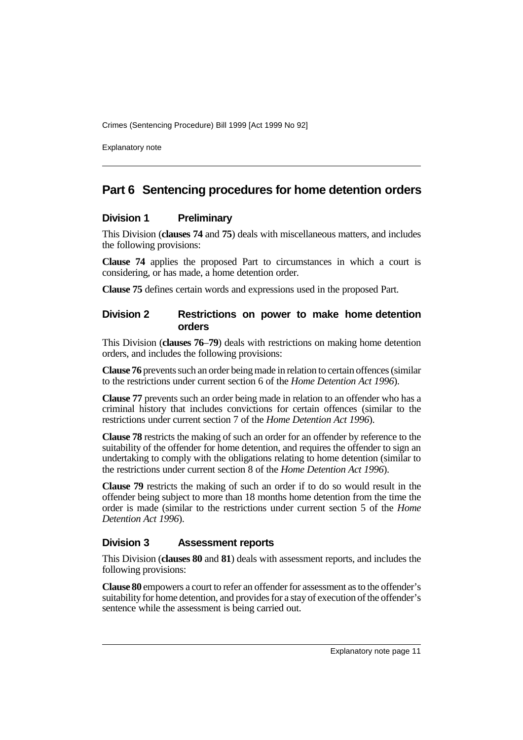Explanatory note

### **Part 6 Sentencing procedures for home detention orders**

#### **Division 1 Preliminary**

This Division (**clauses 74** and **75**) deals with miscellaneous matters, and includes the following provisions:

**Clause 74** applies the proposed Part to circumstances in which a court is considering, or has made, a home detention order.

**Clause 75** defines certain words and expressions used in the proposed Part.

### **Division 2 Restrictions on power to make home detention orders**

This Division (**clauses 76**–**79**) deals with restrictions on making home detention orders, and includes the following provisions:

**Clause 76** prevents such an order being made in relation to certain offences (similar to the restrictions under current section 6 of the *Home Detention Act 1996*).

**Clause 77** prevents such an order being made in relation to an offender who has a criminal history that includes convictions for certain offences (similar to the restrictions under current section 7 of the *Home Detention Act 1996*).

**Clause 78** restricts the making of such an order for an offender by reference to the suitability of the offender for home detention, and requires the offender to sign an undertaking to comply with the obligations relating to home detention (similar to the restrictions under current section 8 of the *Home Detention Act 1996*).

**Clause 79** restricts the making of such an order if to do so would result in the offender being subject to more than 18 months home detention from the time the order is made (similar to the restrictions under current section 5 of the *Home Detention Act 1996*).

### **Division 3 Assessment reports**

This Division (**clauses 80** and **81**) deals with assessment reports, and includes the following provisions:

**Clause 80** empowers a court to refer an offender for assessment as to the offender's suitability for home detention, and provides for a stay of execution of the offender's sentence while the assessment is being carried out.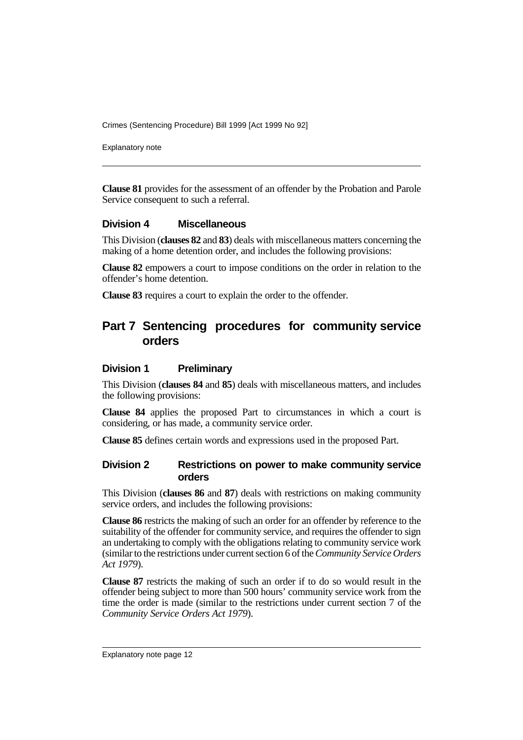Explanatory note

**Clause 81** provides for the assessment of an offender by the Probation and Parole Service consequent to such a referral.

### **Division 4 Miscellaneous**

This Division (**clauses 82** and **83**) deals with miscellaneous matters concerning the making of a home detention order, and includes the following provisions:

**Clause 82** empowers a court to impose conditions on the order in relation to the offender's home detention.

**Clause 83** requires a court to explain the order to the offender.

# **Part 7 Sentencing procedures for community service orders**

#### **Division 1 Preliminary**

This Division (**clauses 84** and **85**) deals with miscellaneous matters, and includes the following provisions:

**Clause 84** applies the proposed Part to circumstances in which a court is considering, or has made, a community service order.

**Clause 85** defines certain words and expressions used in the proposed Part.

### **Division 2 Restrictions on power to make community service orders**

This Division (**clauses 86** and **87**) deals with restrictions on making community service orders, and includes the following provisions:

**Clause 86** restricts the making of such an order for an offender by reference to the suitability of the offender for community service, and requires the offender to sign an undertaking to comply with the obligations relating to community service work (similar to the restrictions under current section 6 of the *Community Service Orders Act 1979*).

**Clause 87** restricts the making of such an order if to do so would result in the offender being subject to more than 500 hours' community service work from the time the order is made (similar to the restrictions under current section 7 of the *Community Service Orders Act 1979*).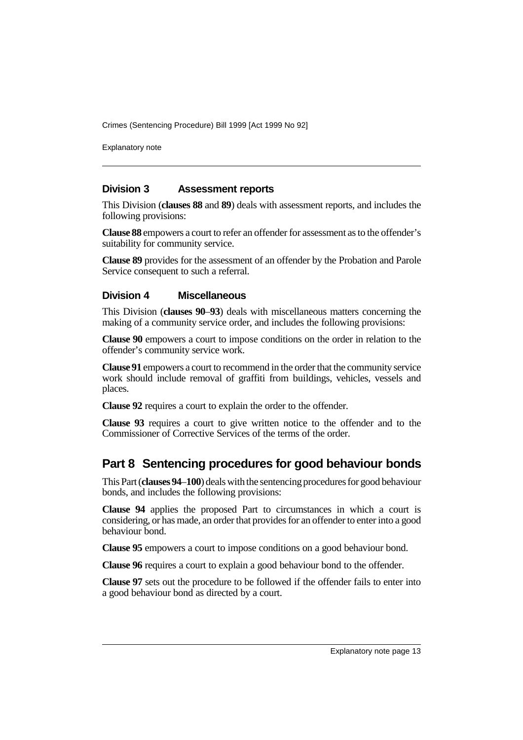Explanatory note

### **Division 3 Assessment reports**

This Division (**clauses 88** and **89**) deals with assessment reports, and includes the following provisions:

**Clause 88** empowers a court to refer an offender for assessment as to the offender's suitability for community service.

**Clause 89** provides for the assessment of an offender by the Probation and Parole Service consequent to such a referral.

#### **Division 4 Miscellaneous**

This Division (**clauses 90**–**93**) deals with miscellaneous matters concerning the making of a community service order, and includes the following provisions:

**Clause 90** empowers a court to impose conditions on the order in relation to the offender's community service work.

**Clause 91** empowers a court to recommend in the order that the community service work should include removal of graffiti from buildings, vehicles, vessels and places.

**Clause 92** requires a court to explain the order to the offender.

**Clause 93** requires a court to give written notice to the offender and to the Commissioner of Corrective Services of the terms of the order.

# **Part 8 Sentencing procedures for good behaviour bonds**

This Part (**clauses 94**–**100**) deals with the sentencing procedures for good behaviour bonds, and includes the following provisions:

**Clause 94** applies the proposed Part to circumstances in which a court is considering, or has made, an order that provides for an offender to enter into a good behaviour bond.

**Clause 95** empowers a court to impose conditions on a good behaviour bond.

**Clause 96** requires a court to explain a good behaviour bond to the offender.

**Clause 97** sets out the procedure to be followed if the offender fails to enter into a good behaviour bond as directed by a court.